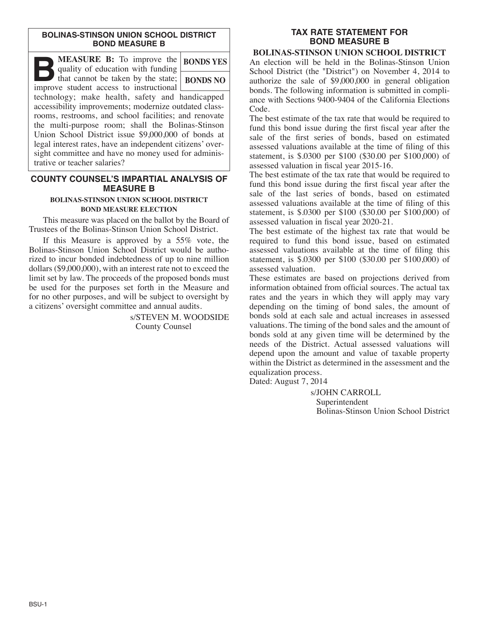#### **BOLINAS-STINSON UNION SCHOOL DISTRICT BOND MEASURE B**

| <b>MEASURE B:</b> To improve the<br>quality of education with funding                                                                                             | <b>BONDS YES</b> |
|-------------------------------------------------------------------------------------------------------------------------------------------------------------------|------------------|
| $\Box$<br>that cannot be taken by the state;<br>improve student access to instructional                                                                           | <b>BONDS NO</b>  |
| technology; make health, safety and handicapped<br>accessibility improvements; modernize outdated class-<br>rooms, restrooms, and school facilities; and renovate |                  |
| the multi-purpose room; shall the Bolinas-Stinson<br>Union School District issue \$9,000,000 of bonds at                                                          |                  |
| legal interest rates, have an independent citizens' over-<br>sight committee and have no money used for adminis-<br>trative or teacher salaries?                  |                  |

## **COUNTY COUNSEL'S IMPARTIAL ANALYSIS OF MEASURE B**

#### **BOLINAS-STINSON UNION SCHOOL DISTRICT BOND MEASURE ELECTION**

This measure was placed on the ballot by the Board of Trustees of the Bolinas-Stinson Union School District.

If this Measure is approved by a 55% vote, the Bolinas-Stinson Union School District would be authorized to incur bonded indebtedness of up to nine million dollars (\$9,000,000), with an interest rate not to exceed the limit set by law. The proceeds of the proposed bonds must be used for the purposes set forth in the Measure and for no other purposes, and will be subject to oversight by a citizens' oversight committee and annual audits.

> s/STEVEN M. WOODSIDE County Counsel

# **TAX RATE STATEMENT FOR BOND MEASURE B**

### **BOLINAS-STINSON UNION SCHOOL DISTRICT**

An election will be held in the Bolinas-Stinson Union School District (the "District") on November 4, 2014 to authorize the sale of \$9,000,000 in general obligation bonds. The following information is submitted in compliance with Sections 9400-9404 of the California Elections Code.

The best estimate of the tax rate that would be required to fund this bond issue during the first fiscal year after the sale of the first series of bonds, based on estimated assessed valuations available at the time of filing of this statement, is \$.0300 per \$100 (\$30.00 per \$100,000) of assessed valuation in fiscal year 2015-16.

The best estimate of the tax rate that would be required to fund this bond issue during the first fiscal year after the sale of the last series of bonds, based on estimated assessed valuations available at the time of filing of this statement, is \$.0300 per \$100 (\$30.00 per \$100,000) of assessed valuation in fiscal year 2020-21.

The best estimate of the highest tax rate that would be required to fund this bond issue, based on estimated assessed valuations available at the time of filing this statement, is \$.0300 per \$100 (\$30.00 per \$100,000) of assessed valuation.

These estimates are based on projections derived from information obtained from official sources. The actual tax rates and the years in which they will apply may vary depending on the timing of bond sales, the amount of bonds sold at each sale and actual increases in assessed valuations. The timing of the bond sales and the amount of bonds sold at any given time will be determined by the needs of the District. Actual assessed valuations will depend upon the amount and value of taxable property within the District as determined in the assessment and the equalization process.

Dated: August 7, 2014

s/JOHN CARROLL Superintendent Bolinas-Stinson Union School District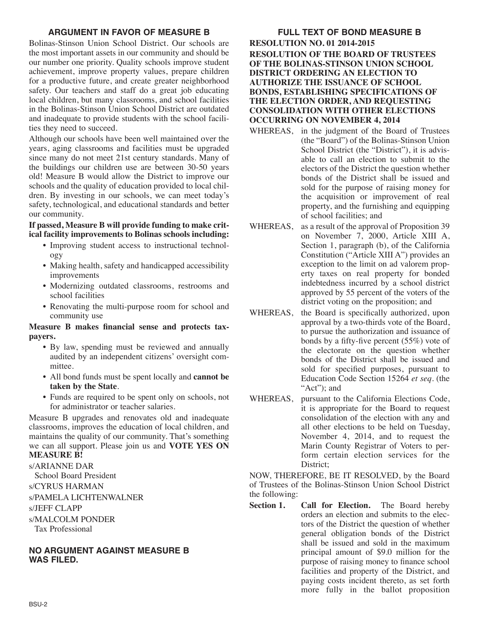# **ARGUMENT IN FAVOR OF MEASURE B**

Bolinas-Stinson Union School District. Our schools are the most important assets in our community and should be our number one priority. Quality schools improve student achievement, improve property values, prepare children for a productive future, and create greater neighborhood safety. Our teachers and staff do a great job educating local children, but many classrooms, and school facilities in the Bolinas-Stinson Union School District are outdated and inadequate to provide students with the school facilities they need to succeed.

Although our schools have been well maintained over the years, aging classrooms and facilities must be upgraded since many do not meet 21st century standards. Many of the buildings our children use are between 30-50 years old! Measure B would allow the District to improve our schools and the quality of education provided to local children. By investing in our schools, we can meet today's safety, technological, and educational standards and better our community.

## **If passed, Measure B will provide funding to make critical facility improvements to Bolinas schools including:**

- Improving student access to instructional technology
- Making health, safety and handicapped accessibility improvements
- Modernizing outdated classrooms, restrooms and school facilities
- Renovating the multi-purpose room for school and community use

## **Measure B makes financial sense and protects taxpayers.**

- By law, spending must be reviewed and annually audited by an independent citizens' oversight committee.
- All bond funds must be spent locally and **cannot be taken by the State**.
- Funds are required to be spent only on schools, not for administrator or teacher salaries.

Measure B upgrades and renovates old and inadequate classrooms, improves the education of local children, and maintains the quality of our community. That's something we can all support. Please join us and **VOTE YES ON MEASURE B!**

s/ARIANNE DAR School Board President s/CYRUS HARMAN s/PAMELA LICHTENWALNER s/JEFF CLAPP s/MALCOLM PONDER Tax Professional

# **NO ARGUMENT AGAINST MEASURE B WAS FILED.**

**FULL TEXT OF BOND MEASURE B RESOLUTION NO. 01 2014-2015 RESOLUTION OF THE BOARD OF TRUSTEES OF THE BOLINAS-STINSON UNION SCHOOL DISTRICT ORDERING AN ELECTION TO AUTHORIZE THE ISSUANCE OF SCHOOL BONDS, ESTABLISHING SPECIFICATIONS OF THE ELECTION ORDER, AND REQUESTING CONSOLIDATION WITH OTHER ELECTIONS OCCURRING ON NOVEMBER 4, 2014**

- WHEREAS, in the judgment of the Board of Trustees (the "Board") of the Bolinas-Stinson Union School District (the "District"), it is advisable to call an election to submit to the electors of the District the question whether bonds of the District shall be issued and sold for the purpose of raising money for the acquisition or improvement of real property, and the furnishing and equipping of school facilities; and
- WHEREAS, as a result of the approval of Proposition 39 on November 7, 2000, Article XIII A, Section 1, paragraph (b), of the California Constitution ("Article XIII A") provides an exception to the limit on ad valorem property taxes on real property for bonded indebtedness incurred by a school district approved by 55 percent of the voters of the district voting on the proposition; and
- WHEREAS, the Board is specifically authorized, upon approval by a two-thirds vote of the Board, to pursue the authorization and issuance of bonds by a fifty-five percent (55%) vote of the electorate on the question whether bonds of the District shall be issued and sold for specified purposes, pursuant to Education Code Section 15264 *et seq*. (the "Act"); and
- WHEREAS, pursuant to the California Elections Code, it is appropriate for the Board to request consolidation of the election with any and all other elections to be held on Tuesday, November 4, 2014, and to request the Marin County Registrar of Voters to perform certain election services for the District;

NOW, THEREFORE, BE IT RESOLVED, by the Board of Trustees of the Bolinas-Stinson Union School District the following:

**Section 1. Call for Election.** The Board hereby orders an election and submits to the electors of the District the question of whether general obligation bonds of the District shall be issued and sold in the maximum principal amount of \$9.0 million for the purpose of raising money to finance school facilities and property of the District, and paying costs incident thereto, as set forth more fully in the ballot proposition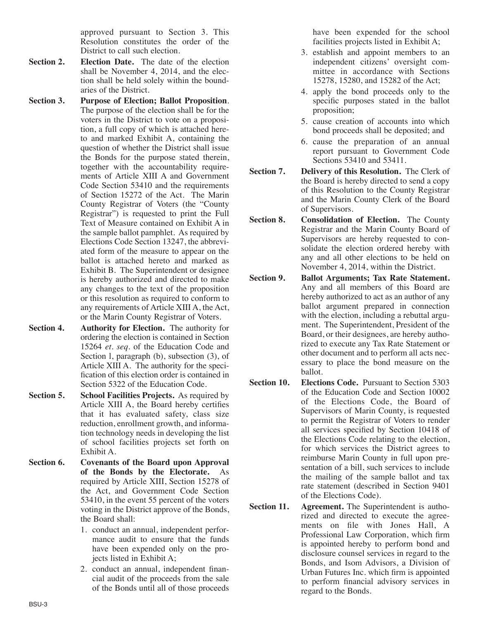approved pursuant to Section 3. This Resolution constitutes the order of the District to call such election.

- **Section 2. Election Date.** The date of the election shall be November 4, 2014, and the election shall be held solely within the boundaries of the District.
- **Section 3. Purpose of Election; Ballot Proposition**. The purpose of the election shall be for the voters in the District to vote on a proposition, a full copy of which is attached hereto and marked Exhibit A, containing the question of whether the District shall issue the Bonds for the purpose stated therein, together with the accountability requirements of Article XIII A and Government Code Section 53410 and the requirements of Section 15272 of the Act. The Marin County Registrar of Voters (the "County Registrar") is requested to print the Full Text of Measure contained on Exhibit A in the sample ballot pamphlet. As required by Elections Code Section 13247, the abbreviated form of the measure to appear on the ballot is attached hereto and marked as Exhibit B. The Superintendent or designee is hereby authorized and directed to make any changes to the text of the proposition or this resolution as required to conform to any requirements of Article XIII A, the Act, or the Marin County Registrar of Voters.
- **Section 4. Authority for Election.** The authority for ordering the election is contained in Section 15264 *et. seq.* of the Education Code and Section 1, paragraph (b), subsection (3), of Article XIII A. The authority for the specification of this election order is contained in Section 5322 of the Education Code.
- **Section 5. School Facilities Projects.** As required by Article XIII A, the Board hereby certifies that it has evaluated safety, class size reduction, enrollment growth, and information technology needs in developing the list of school facilities projects set forth on Exhibit A.
- **Section 6. Covenants of the Board upon Approval of the Bonds by the Electorate.** As required by Article XIII, Section 15278 of the Act, and Government Code Section 53410, in the event 55 percent of the voters voting in the District approve of the Bonds, the Board shall:
	- 1. conduct an annual, independent performance audit to ensure that the funds have been expended only on the projects listed in Exhibit A;
	- 2. conduct an annual, independent financial audit of the proceeds from the sale of the Bonds until all of those proceeds

have been expended for the school facilities projects listed in Exhibit A;

- 3. establish and appoint members to an independent citizens' oversight committee in accordance with Sections 15278, 15280, and 15282 of the Act;
- 4. apply the bond proceeds only to the specific purposes stated in the ballot proposition;
- 5. cause creation of accounts into which bond proceeds shall be deposited; and
- 6. cause the preparation of an annual report pursuant to Government Code Sections 53410 and 53411.
- **Section 7. Delivery of this Resolution.** The Clerk of the Board is hereby directed to send a copy of this Resolution to the County Registrar and the Marin County Clerk of the Board of Supervisors.
- **Section 8. Consolidation of Election.** The County Registrar and the Marin County Board of Supervisors are hereby requested to consolidate the election ordered hereby with any and all other elections to be held on November 4, 2014, within the District.
- **Section 9. Ballot Arguments; Tax Rate Statement.** Any and all members of this Board are hereby authorized to act as an author of any ballot argument prepared in connection with the election, including a rebuttal argument. The Superintendent, President of the Board, or their designees, are hereby authorized to execute any Tax Rate Statement or other document and to perform all acts necessary to place the bond measure on the ballot.
- **Section 10. Elections Code.** Pursuant to Section 5303 of the Education Code and Section 10002 of the Elections Code, the Board of Supervisors of Marin County, is requested to permit the Registrar of Voters to render all services specified by Section 10418 of the Elections Code relating to the election, for which services the District agrees to reimburse Marin County in full upon presentation of a bill, such services to include the mailing of the sample ballot and tax rate statement (described in Section 9401 of the Elections Code).
- **Section 11. Agreement.** The Superintendent is authorized and directed to execute the agreements on file with Jones Hall, A Professional Law Corporation, which firm is appointed hereby to perform bond and disclosure counsel services in regard to the Bonds, and Isom Advisors, a Division of Urban Futures Inc. which firm is appointed to perform financial advisory services in regard to the Bonds.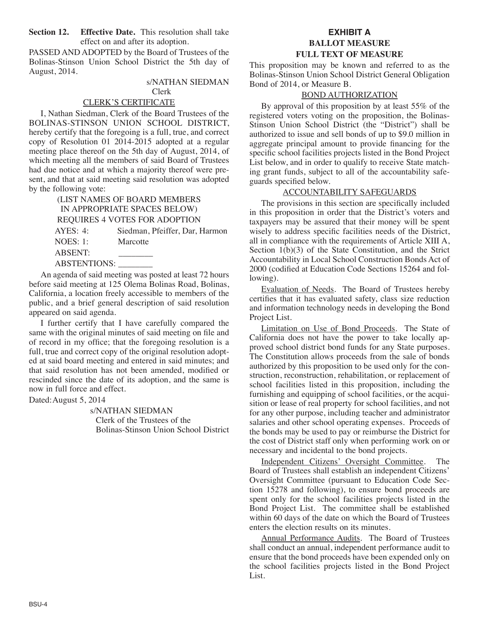**Section 12. Effective Date.** This resolution shall take effect on and after its adoption.

PASSED AND ADOPTED by the Board of Trustees of the Bolinas-Stinson Union School District the 5th day of August, 2014.

### s/NATHAN SIEDMAN Clerk

#### CLERK'S CERTIFICATE

I, Nathan Siedman, Clerk of the Board Trustees of the BOLINAS-STINSON UNION SCHOOL DISTRICT, hereby certify that the foregoing is a full, true, and correct copy of Resolution 01 2014-2015 adopted at a regular meeting place thereof on the 5th day of August, 2014, of which meeting all the members of said Board of Trustees had due notice and at which a majority thereof were present, and that at said meeting said resolution was adopted by the following vote:

> (LIST NAMES OF BOARD MEMBERS IN APPROPRIATE SPACES BELOW) REQUIRES 4 VOTES FOR ADOPTION AYES: 4: Siedman, Pfeiffer, Dar, Harmon NOES: 1: Marcotte ABSENT: \_\_\_\_\_\_\_\_ ABSTENTIONS: \_\_\_\_\_\_\_\_

An agenda of said meeting was posted at least 72 hours before said meeting at 125 Olema Bolinas Road, Bolinas, California, a location freely accessible to members of the public, and a brief general description of said resolution appeared on said agenda.

I further certify that I have carefully compared the same with the original minutes of said meeting on file and of record in my office; that the foregoing resolution is a full, true and correct copy of the original resolution adopted at said board meeting and entered in said minutes; and that said resolution has not been amended, modified or rescinded since the date of its adoption, and the same is now in full force and effect.

#### Dated:August 5, 2014

s/NATHAN SIEDMAN Clerk of the Trustees of the Bolinas-Stinson Union School District

## **EXHIBIT A BALLOT MEASURE FULL TEXT OF MEASURE**

This proposition may be known and referred to as the Bolinas-Stinson Union School District General Obligation Bond of 2014, or Measure B.

#### BOND AUTHORIZATION

By approval of this proposition by at least 55% of the registered voters voting on the proposition, the Bolinas-Stinson Union School District (the "District") shall be authorized to issue and sell bonds of up to \$9.0 million in aggregate principal amount to provide financing for the specific school facilities projects listed in the Bond Project List below, and in order to qualify to receive State matching grant funds, subject to all of the accountability safeguards specified below.

#### ACCOUNTABILITY SAFEGUARDS

The provisions in this section are specifically included in this proposition in order that the District's voters and taxpayers may be assured that their money will be spent wisely to address specific facilities needs of the District, all in compliance with the requirements of Article XIII A, Section  $1(b)(3)$  of the State Constitution, and the Strict Accountability in Local School Construction Bonds Act of 2000 (codified at Education Code Sections 15264 and following).

Evaluation of Needs. The Board of Trustees hereby certifies that it has evaluated safety, class size reduction and information technology needs in developing the Bond Project List.

Limitation on Use of Bond Proceeds. The State of California does not have the power to take locally approved school district bond funds for any State purposes. The Constitution allows proceeds from the sale of bonds authorized by this proposition to be used only for the construction, reconstruction, rehabilitation, or replacement of school facilities listed in this proposition, including the furnishing and equipping of school facilities, or the acquisition or lease of real property for school facilities, and not for any other purpose, including teacher and administrator salaries and other school operating expenses. Proceeds of the bonds may be used to pay or reimburse the District for the cost of District staff only when performing work on or necessary and incidental to the bond projects.

Independent Citizens' Oversight Committee. The Board of Trustees shall establish an independent Citizens' Oversight Committee (pursuant to Education Code Section 15278 and following), to ensure bond proceeds are spent only for the school facilities projects listed in the Bond Project List. The committee shall be established within 60 days of the date on which the Board of Trustees enters the election results on its minutes.

Annual Performance Audits. The Board of Trustees shall conduct an annual, independent performance audit to ensure that the bond proceeds have been expended only on the school facilities projects listed in the Bond Project List.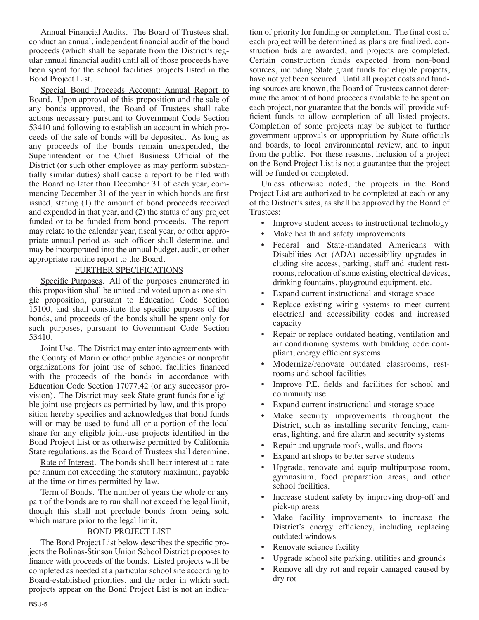Annual Financial Audits. The Board of Trustees shall conduct an annual, independent financial audit of the bond proceeds (which shall be separate from the District's regular annual financial audit) until all of those proceeds have been spent for the school facilities projects listed in the Bond Project List.

Special Bond Proceeds Account; Annual Report to Board. Upon approval of this proposition and the sale of any bonds approved, the Board of Trustees shall take actions necessary pursuant to Government Code Section 53410 and following to establish an account in which proceeds of the sale of bonds will be deposited. As long as any proceeds of the bonds remain unexpended, the Superintendent or the Chief Business Official of the District (or such other employee as may perform substantially similar duties) shall cause a report to be filed with the Board no later than December 31 of each year, commencing December 31 of the year in which bonds are first issued, stating (1) the amount of bond proceeds received and expended in that year, and (2) the status of any project funded or to be funded from bond proceeds. The report may relate to the calendar year, fiscal year, or other appropriate annual period as such officer shall determine, and may be incorporated into the annual budget, audit, or other appropriate routine report to the Board.

#### FURTHER SPECIFICATIONS

Specific Purposes. All of the purposes enumerated in this proposition shall be united and voted upon as one single proposition, pursuant to Education Code Section 15100, and shall constitute the specific purposes of the bonds, and proceeds of the bonds shall be spent only for such purposes, pursuant to Government Code Section 53410.

Joint Use. The District may enter into agreements with the County of Marin or other public agencies or nonprofit organizations for joint use of school facilities financed with the proceeds of the bonds in accordance with Education Code Section 17077.42 (or any successor provision). The District may seek State grant funds for eligible joint-use projects as permitted by law, and this proposition hereby specifies and acknowledges that bond funds will or may be used to fund all or a portion of the local share for any eligible joint-use projects identified in the Bond Project List or as otherwise permitted by California State regulations, as the Board of Trustees shall determine.

Rate of Interest. The bonds shall bear interest at a rate per annum not exceeding the statutory maximum, payable at the time or times permitted by law.

Term of Bonds. The number of years the whole or any part of the bonds are to run shall not exceed the legal limit, though this shall not preclude bonds from being sold which mature prior to the legal limit.

## BOND PROJECT LIST

The Bond Project List below describes the specific projects the Bolinas-Stinson Union School District proposes to finance with proceeds of the bonds. Listed projects will be completed as needed at a particular school site according to Board-established priorities, and the order in which such projects appear on the Bond Project List is not an indication of priority for funding or completion. The final cost of each project will be determined as plans are finalized, construction bids are awarded, and projects are completed. Certain construction funds expected from non-bond sources, including State grant funds for eligible projects, have not yet been secured. Until all project costs and funding sources are known, the Board of Trustees cannot determine the amount of bond proceeds available to be spent on each project, nor guarantee that the bonds will provide sufficient funds to allow completion of all listed projects. Completion of some projects may be subject to further government approvals or appropriation by State officials and boards, to local environmental review, and to input from the public. For these reasons, inclusion of a project on the Bond Project List is not a guarantee that the project will be funded or completed.

Unless otherwise noted, the projects in the Bond Project List are authorized to be completed at each or any of the District's sites, as shall be approved by the Board of Trustees:

- Improve student access to instructional technology
- Make health and safety improvements
- Federal and State-mandated Americans with Disabilities Act (ADA) accessibility upgrades including site access, parking, staff and student restrooms, relocation of some existing electrical devices, drinking fountains, playground equipment, etc.
- Expand current instructional and storage space
- Replace existing wiring systems to meet current electrical and accessibility codes and increased capacity
- Repair or replace outdated heating, ventilation and air conditioning systems with building code compliant, energy efficient systems
- Modernize/renovate outdated classrooms, restrooms and school facilities
- Improve P.E. fields and facilities for school and community use
- Expand current instructional and storage space
- Make security improvements throughout the District, such as installing security fencing, cameras, lighting, and fire alarm and security systems
- Repair and upgrade roofs, walls, and floors
- Expand art shops to better serve students
- Upgrade, renovate and equip multipurpose room, gymnasium, food preparation areas, and other school facilities.
- Increase student safety by improving drop-off and pick-up areas
- Make facility improvements to increase the District's energy efficiency, including replacing outdated windows
- Renovate science facility
- Upgrade school site parking, utilities and grounds
- Remove all dry rot and repair damaged caused by dry rot